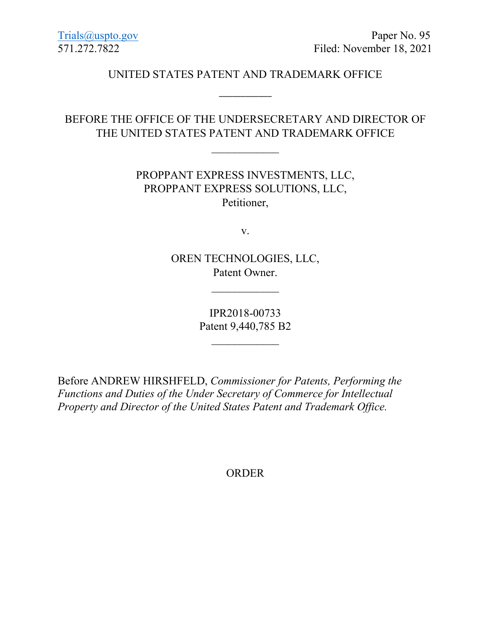#### UNITED STATES PATENT AND TRADEMARK OFFICE

\_\_\_\_\_\_\_\_\_\_\_\_

# BEFORE THE OFFICE OF THE UNDERSECRETARY AND DIRECTOR OF THE UNITED STATES PATENT AND TRADEMARK OFFICE

 $\overline{\phantom{a}}$ 

## PROPPANT EXPRESS INVESTMENTS, LLC, PROPPANT EXPRESS SOLUTIONS, LLC, Petitioner,

v.

OREN TECHNOLOGIES, LLC, Patent Owner.

 $\overline{\phantom{a}}$ 

IPR2018-00733 Patent 9,440,785 B2

 $\mathcal{L}$  , we have the set of the set of the set of the set of the set of the set of the set of the set of the set of the set of the set of the set of the set of the set of the set of the set of the set of the set of the

Before ANDREW HIRSHFELD, *Commissioner for Patents, Performing the Functions and Duties of the Under Secretary of Commerce for Intellectual Property and Director of the United States Patent and Trademark Office.*

ORDER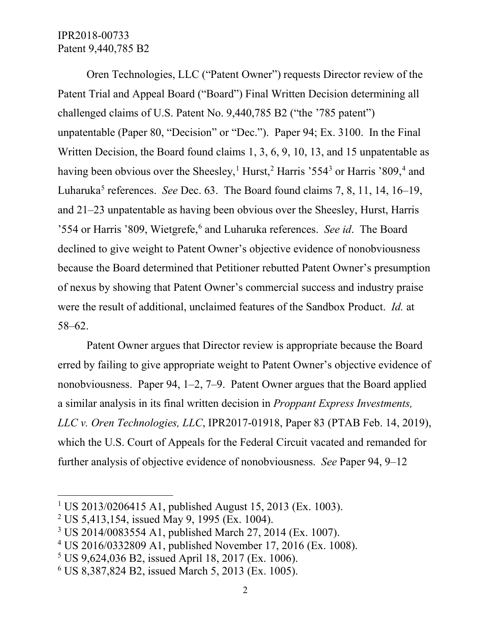### IPR2018-00733 Patent 9,440,785 B2

Oren Technologies, LLC ("Patent Owner") requests Director review of the Patent Trial and Appeal Board ("Board") Final Written Decision determining all challenged claims of U.S. Patent No. 9,440,785 B2 ("the '785 patent") unpatentable (Paper 80, "Decision" or "Dec."). Paper 94; Ex. 3100. In the Final Written Decision, the Board found claims 1, 3, 6, 9, 10, 13, and 15 unpatentable as having been obvious over the Sheesley,<sup>[1](#page-1-0)</sup> Hurst,<sup>[2](#page-1-1)</sup> Harris '554<sup>[3](#page-1-2)</sup> or Harris '809,<sup>[4](#page-1-3)</sup> and Luharuka<sup>[5](#page-1-4)</sup> references. *See* Dec. 63. The Board found claims 7, 8, 11, 14, 16–19, and 21–23 unpatentable as having been obvious over the Sheesley, Hurst, Harris '554 or Harris '809, Wietgrefe, [6](#page-1-5) and Luharuka references. *See id*. The Board declined to give weight to Patent Owner's objective evidence of nonobviousness because the Board determined that Petitioner rebutted Patent Owner's presumption of nexus by showing that Patent Owner's commercial success and industry praise were the result of additional, unclaimed features of the Sandbox Product. *Id.* at 58–62.

Patent Owner argues that Director review is appropriate because the Board erred by failing to give appropriate weight to Patent Owner's objective evidence of nonobviousness. Paper 94, 1–2, 7–9. Patent Owner argues that the Board applied a similar analysis in its final written decision in *Proppant Express Investments, LLC v. Oren Technologies, LLC*, IPR2017-01918, Paper 83 (PTAB Feb. 14, 2019), which the U.S. Court of Appeals for the Federal Circuit vacated and remanded for further analysis of objective evidence of nonobviousness. *See* Paper 94, 9–12

l

<span id="page-1-0"></span><sup>&</sup>lt;sup>1</sup> US 2013/0206415 A1, published August 15, 2013 (Ex. 1003).

<span id="page-1-1"></span><sup>2</sup> US 5,413,154, issued May 9, 1995 (Ex. 1004).

<span id="page-1-2"></span><sup>3</sup> US 2014/0083554 A1, published March 27, 2014 (Ex. 1007).

<span id="page-1-3"></span><sup>4</sup> US 2016/0332809 A1, published November 17, 2016 (Ex. 1008).

<span id="page-1-4"></span><sup>5</sup> US 9,624,036 B2, issued April 18, 2017 (Ex. 1006).

<span id="page-1-5"></span><sup>6</sup> US 8,387,824 B2, issued March 5, 2013 (Ex. 1005).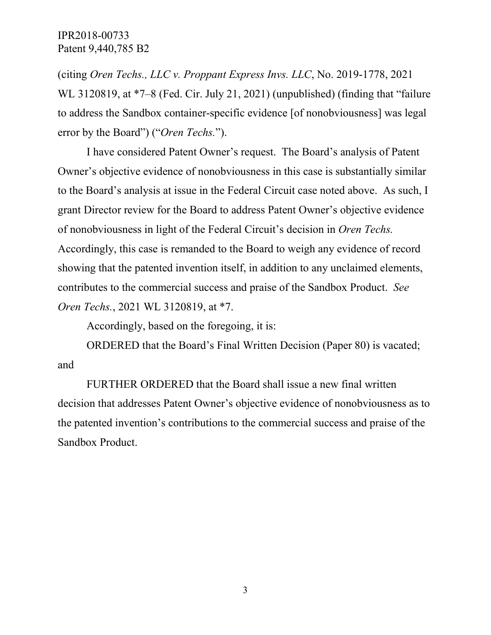IPR2018-00733 Patent 9,440,785 B2

(citing *Oren Techs., LLC v. Proppant Express Invs. LLC*, No. 2019-1778, 2021 WL 3120819, at  $*7-8$  (Fed. Cir. July 21, 2021) (unpublished) (finding that "failure to address the Sandbox container-specific evidence [of nonobviousness] was legal error by the Board") ("*Oren Techs.*").

I have considered Patent Owner's request. The Board's analysis of Patent Owner's objective evidence of nonobviousness in this case is substantially similar to the Board's analysis at issue in the Federal Circuit case noted above. As such, I grant Director review for the Board to address Patent Owner's objective evidence of nonobviousness in light of the Federal Circuit's decision in *Oren Techs.* Accordingly, this case is remanded to the Board to weigh any evidence of record showing that the patented invention itself, in addition to any unclaimed elements, contributes to the commercial success and praise of the Sandbox Product. *See Oren Techs.*, 2021 WL 3120819, at \*7.

Accordingly, based on the foregoing, it is:

ORDERED that the Board's Final Written Decision (Paper 80) is vacated; and

FURTHER ORDERED that the Board shall issue a new final written decision that addresses Patent Owner's objective evidence of nonobviousness as to the patented invention's contributions to the commercial success and praise of the Sandbox Product.

3